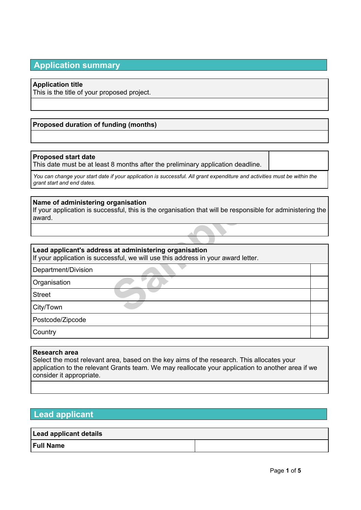# **Application summary**

#### **Application title**

This is the title of your proposed project.

### **Proposed duration of funding (months)**

#### **Proposed start date**

This date must be at least 8 months after the preliminary application deadline.

You can change your start date if your application is successful. All grant expenditure and activities must be within the *grant start and end dates.*

#### **Name of administering organisation**

**Sample Seconds Asset Assets that will be responsed as at administering organisation sesful, we will use this address in your award letter and the second of the set of the set of the second of the set of the set of the set** If your application is successful, this is the organisation that will be responsible for administering the award.

### **Lead applicant's address at administering organisation**

If your application is successful, we will use this address in your award letter.

Department/Division

**Organisation** 

Street

City/Town

Postcode/Zipcode

**Country** 

#### **Research area**

Select the most relevant area, based on the key aims of the research. This allocates your application to the relevant Grants team. We may reallocate your application to another area if we consider it appropriate.

## **Lead applicant**

## **Lead applicant details**

#### **Full Name**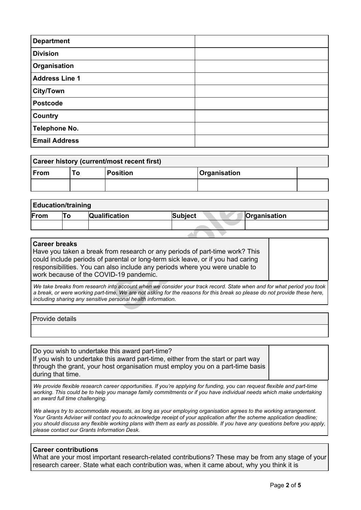| <b>Department</b>     |  |
|-----------------------|--|
| <b>Division</b>       |  |
| Organisation          |  |
| <b>Address Line 1</b> |  |
| <b>City/Town</b>      |  |
| <b>Postcode</b>       |  |
| <b>Country</b>        |  |
| <b>Telephone No.</b>  |  |
| <b>Email Address</b>  |  |

| Career history (current/most recent first) |    |          |                     |  |  |
|--------------------------------------------|----|----------|---------------------|--|--|
| $ $ From                                   | ιი | Position | <b>Organisation</b> |  |  |
|                                            |    |          |                     |  |  |

| <b>Education/training</b> |    |                                                              |                                                                                                                                                                                                                                                    |  |              |  |  |
|---------------------------|----|--------------------------------------------------------------|----------------------------------------------------------------------------------------------------------------------------------------------------------------------------------------------------------------------------------------------------|--|--------------|--|--|
| From                      | To | Qualification                                                | <b>Subject</b>                                                                                                                                                                                                                                     |  | Organisation |  |  |
|                           |    |                                                              |                                                                                                                                                                                                                                                    |  |              |  |  |
|                           |    |                                                              |                                                                                                                                                                                                                                                    |  |              |  |  |
| <b>Career breaks</b>      |    | work because of the COVID-19 pandemic.                       | Have you taken a break from research or any periods of part-time work? This<br>could include periods of parental or long-term sick leave, or if you had caring<br>responsibilities. You can also include any periods where you were unable to      |  |              |  |  |
|                           |    | including sharing any sensitive personal health information. | We take breaks from research into account when we consider your track record. State when and for what period you took<br>a break, or were working part-time. We are not asking for the reasons for this break so please do not provide these here, |  |              |  |  |

#### **Career breaks**

#### Provide details

Do you wish to undertake this award part-time? If you wish to undertake this award part-time, either from the start or part way through the grant, your host organisation must employ you on a part-time basis during that time.

We provide flexible research career opportunities. If you're applying for funding, you can request flexible and part-time working. This could be to help you manage family commitments or if you have individual needs which make undertaking *an award full time challenging.*

We always try to accommodate requests, as long as your employing organisation agrees to the working arrangement. Your Grants Adviser will contact you to acknowledge receipt of your application after the scheme application deadline; you should discuss any flexible working plans with them as early as possible. If you have any questions before you apply, *please contact our Grants Information Desk.*

#### **Career contributions**

What are your most important research-related contributions? These may be from any stage of your research career. State what each contribution was, when it came about, why you think it is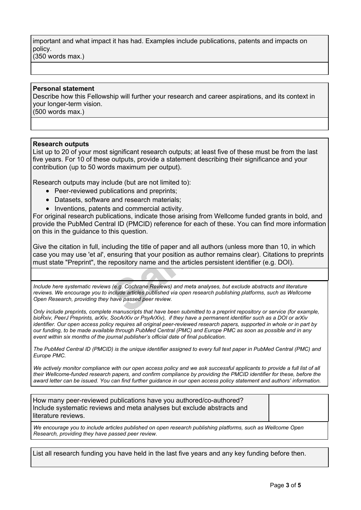important and what impact it has had. Examples include publications, patents and impacts on policy. (350 words max.)

#### **Personal statement**

Describe how this Fellowship will further your research and career aspirations, and its context in your longer-term vision. (500 words max.)

#### **Research outputs**

List up to 20 of your most significant research outputs; at least five of these must be from the last five years. For 10 of these outputs, provide a statement describing their significance and your contribution (up to 50 words maximum per output).

Research outputs may include (but are not limited to):

- Peer-reviewed publications and preprints;
- Datasets, software and research materials;
- Inventions, patents and commercial activity.

Frame and research materials;<br>
Sample Commercial activity.<br>
Cations, indicate those arising from Wellcome tral ID (PMCID) reference for each of these. You<br>
this question.<br>
Sample the title of paper and all authors (unless<br> For original research publications, indicate those arising from Wellcome funded grants in bold, and provide the PubMed Central ID (PMCID) reference for each of these. You can find more information on this in the guidance to this question.

Give the citation in full, including the title of paper and all authors (unless more than 10, in which case you may use 'et al', ensuring that your position as author remains clear). Citations to preprints must state "Preprint", the repository name and the articles persistent identifier (e.g. DOI).

*Include here systematic reviews (e.g. Cochrane Reviews) and meta analyses, but exclude abstracts and literature reviews. We encourage you to include articles published via open research publishing platforms, such as Wellcome Open Research, providing they have passed peer review.*

Only include preprints, complete manuscripts that have been submitted to a preprint repository or service (for example, bioRxiv, PeerJ Preprints, arXiv, SocArXiv or PsyArXiv), if they have a permanent identifier such as a DOI or arXiv identifier. Our open access policy requires all original peer-reviewed research papers, supported in whole or in part by our funding, to be made available through PubMed Central (PMC) and Europe PMC as soon as possible and in any *event within six months of the journal publisher's official date of final publication.*

The PubMed Central ID (PMCID) is the unique identifier assigned to every full text paper in PubMed Central (PMC) and *Europe PMC.*

We actively monitor compliance with our open [access](https://wellcome.org/funding/guidance/open-access-policy) policy and we ask successful applicants to provide a full list of all their Wellcome-funded research papers, and confirm compliance by providing the PMCID identifier for these, before the award letter can be issued. You can find further guidance in our open access policy statement and authors' information.

How many peer-reviewed publications have you authored/co-authored? Include systematic reviews and meta analyses but exclude abstracts and literature reviews.

*We encourage you to include articles published on open research publishing platforms, such as Wellcome Open Research, providing they have passed peer review.*

List all research funding you have held in the last five years and any key funding before then.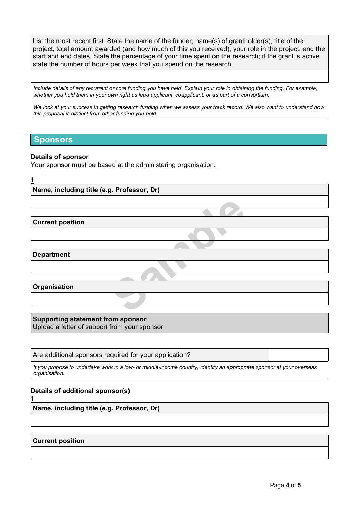List the most recent first. State the name of the funder, name(s) of grantholder(s), title of the project, total amount awarded (and how much of this you received), your role in the project, and the start and end dates. State the percentage of your time spent on the research; if the grant is active state the number of hours per week that you spend on the research.

Include details of any recurrent or core funding you have held. Explain your role in obtaining the funding. For example, whether you held them in your own right as lead applicant, coapplicant, or as part of a consortium.

We look at vour success in getting research funding when we assess your track record. We also want to understand how *this proposal is distinct from other funding you hold.*

### **Sponsors**

#### **Details of sponsor**

Your sponsor must be based at the administering organisation.

**Sample School 1 Name, including title (e.g. Professor, Dr) Current position Department Organisation**

**Supporting statement from sponsor** Upload a letter of support from your sponsor

Are additional sponsors required for your application?

If you propose to undertake work in a low- or middle-income country, identify an appropriate sponsor at your overseas *organisation.*

#### **Details of additional sponsor(s)**

**1**

**Name, including title (e.g. Professor, Dr)**

#### **Current position**